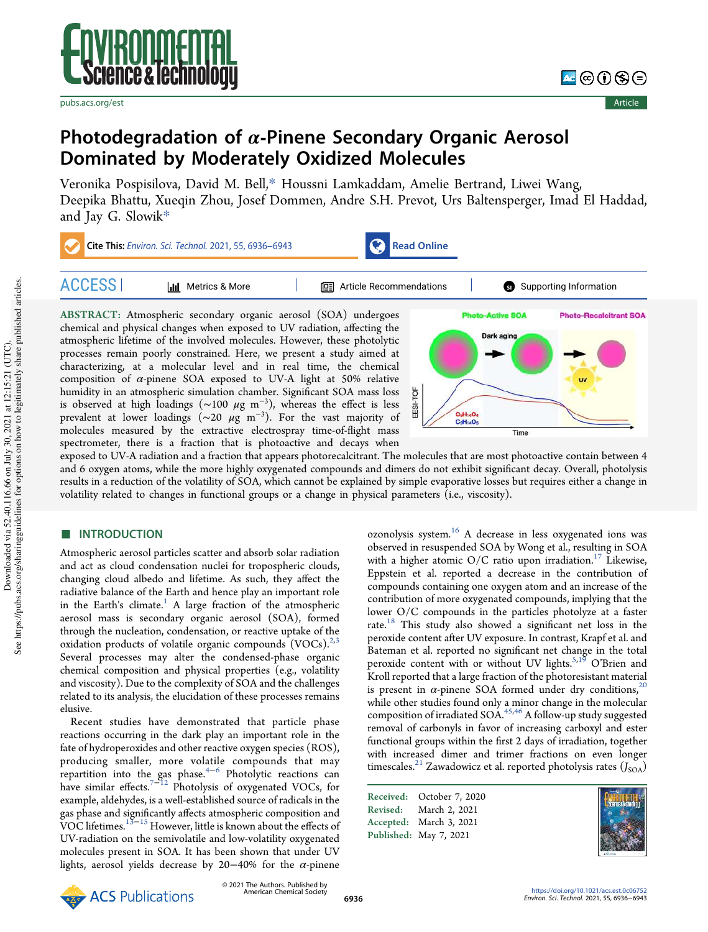

pubs.acs.org/est Article Article Article Article Article Article Article Article Article Article Article Article

## Photodegradation of  $\alpha$ -Pinene Secondary Organic Aerosol Dominated by Moderately Oxidized Molecules

Veronika Pospisilova, David M. Bell,\* Houssni Lamkaddam, Amelie Bertrand, Liwei Wang, Deepika Bhattu, Xueqin Zhou, Josef Dommen, Andre S.H. Prevot, Urs Baltensperger, Imad El Haddad, and Jay G. Slowik\*



processes remain poorly constrained. Here, we present a study aimed at characterizing, at a molecular level and in real time, the chemical composition of α-pinene SOA exposed to UV-A light at 50% relative humidity in an atmospheric simulation chamber. Significant SOA mass loss is observed at high loadings (~100  $\mu$ g m<sup>-3</sup>), whereas the effect is less prevalent at lower loadings  $(\sim 20 \mu g m^{-3})$ . For the vast majority of molecules measured by the extractive electrospray time-of-flight mass spectrometer, there is a fraction that is photoactive and decays when



exposed to UV-A radiation and a fraction that appears photorecalcitrant. The molecules that are most photoactive contain between 4 and 6 oxygen atoms, while the more highly oxygenated compounds and dimers do not exhibit significant decay. Overall, photolysis results in a reduction of the volatility of SOA, which cannot be explained by simple evaporative losses but requires either a change in volatility related to changes in functional groups or a change in physical parameters (i.e., viscosity).

### **ENTRODUCTION**

Atmospheric aerosol particles scatter and absorb solar radiation and act as cloud condensation nuclei for tropospheric clouds, changing cloud albedo and lifetime. As such, they affect the radiative balance of the Earth and hence play an important role in the Earth's climate.<sup>1</sup> A large fraction of the atmospheric aerosol mass is secondary organic aerosol (SOA), formed through the nucleation, condensation, or reactive uptake of the oxidation products of volatile organic compounds  $(VOCs)$ .<sup>2,3</sup> Several processes may alter the condensed-phase organic chemical composition and physical properties (e.g., volatility and viscosity). Due to the complexity of SOA and the challenges related to its analysis, the elucidation of these processes remains elusive.

Recent studies have demonstrated that particle phase reactions occurring in the dark play an important role in the fate of hydroperoxides and other reactive oxygen species (ROS), producing smaller, more volatile compounds that may repartition into the gas phase.<sup>4−6</sup> Photolytic reactions can have similar effects.<sup>7−12</sup> Photolysis of oxygenated VOCs, for example, aldehydes, is a well-established source of radicals in the gas phase and significantly affects atmospheric composition and VOC lifetimes.13−<sup>15</sup> However, little is known about the effects of UV-radiation on the semivolatile and low-volatility oxygenated molecules present in SOA. It has been shown that under UV lights, aerosol yields decrease by 20−40% for the α-pinene

ozonolysis system.<sup>16</sup> A decrease in less oxygenated ions was observed in resuspended SOA by Wong et al., resulting in SOA with a higher atomic O/C ratio upon irradiation.<sup>17</sup> Likewise, Eppstein et al. reported a decrease in the contribution of compounds containing one oxygen atom and an increase of the contribution of more oxygenated compounds, implying that the lower O/C compounds in the particles photolyze at a faster rate. $18$  This study also showed a significant net loss in the peroxide content after UV exposure. In contrast, Krapf et al. and Bateman et al. reported no significant net change in the total peroxide content with or without UV lights.<sup>5,19</sup> O'Brien and Kroll reported that a large fraction of the photoresistant material is present in  $\alpha$ -pinene SOA formed under dry conditions,<sup>20</sup> while other studies found only a minor change in the molecular composition of irradiated SOA.<sup>45,46</sup> A follow-up study suggested removal of carbonyls in favor of increasing carboxyl and ester functional groups within the first 2 days of irradiation, together with increased dimer and trimer fractions on even longer timescales.<sup>21</sup> Zawadowicz et al. reported photolysis rates  $(J_{\text{SOA}})$ 

Received: October 7, 2020 Revised: March 2, 2021 Accepted: March 3, 2021 Published: May 7, 2021

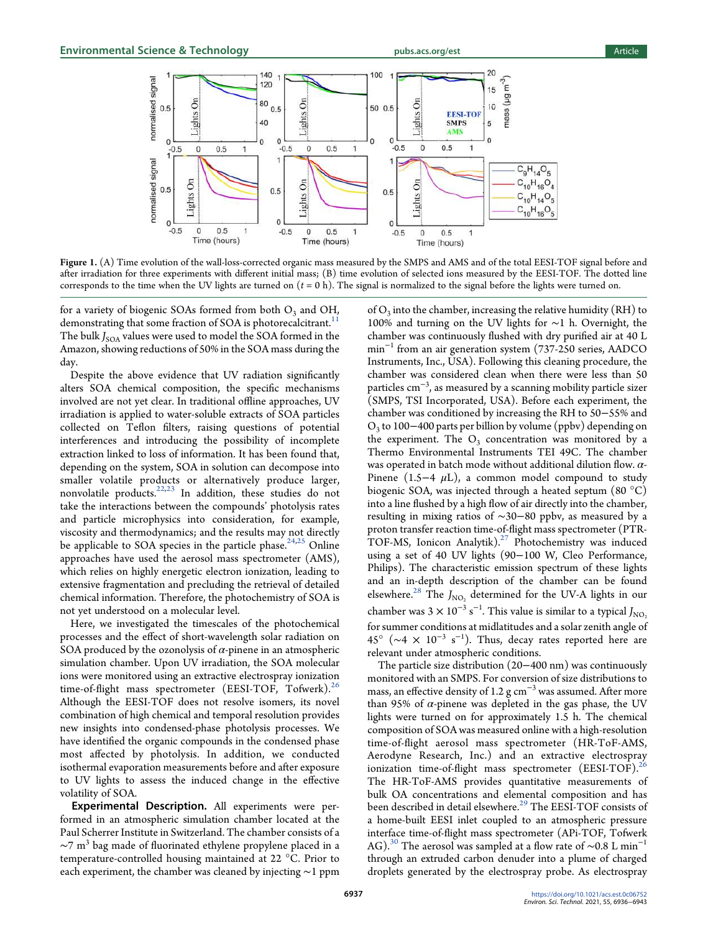

Figure 1. (A) Time evolution of the wall-loss-corrected organic mass measured by the SMPS and AMS and of the total EESI-TOF signal before and after irradiation for three experiments with different initial mass; (B) time evolution of selected ions measured by the EESI-TOF. The dotted line corresponds to the time when the UV lights are turned on  $(t = 0 h)$ . The signal is normalized to the signal before the lights were turned on.

for a variety of biogenic SOAs formed from both  $O<sub>3</sub>$  and OH, demonstrating that some fraction of SOA is photorecalcitrant.<sup>11</sup> The bulk *J*<sub>SOA</sub> values were used to model the SOA formed in the Amazon, showing reductions of 50% in the SOA mass during the day.

Despite the above evidence that UV radiation significantly alters SOA chemical composition, the specific mechanisms involved are not yet clear. In traditional offline approaches, UV irradiation is applied to water-soluble extracts of SOA particles collected on Teflon filters, raising questions of potential interferences and introducing the possibility of incomplete extraction linked to loss of information. It has been found that, depending on the system, SOA in solution can decompose into smaller volatile products or alternatively produce larger, nonvolatile products.22,23 In addition, these studies do not take the interactions between the compounds' photolysis rates and particle microphysics into consideration, for example, viscosity and thermodynamics; and the results may not directly be applicable to SOA species in the particle phase.<sup>24,25</sup> Online</sup> approaches have used the aerosol mass spectrometer (AMS), which relies on highly energetic electron ionization, leading to extensive fragmentation and precluding the retrieval of detailed chemical information. Therefore, the photochemistry of SOA is not yet understood on a molecular level.

Here, we investigated the timescales of the photochemical processes and the effect of short-wavelength solar radiation on SOA produced by the ozonolysis of  $\alpha$ -pinene in an atmospheric simulation chamber. Upon UV irradiation, the SOA molecular ions were monitored using an extractive electrospray ionization time-of-flight mass spectrometer (EESI-TOF, Tofwerk).<sup>26</sup> Although the EESI-TOF does not resolve isomers, its novel combination of high chemical and temporal resolution provides new insights into condensed-phase photolysis processes. We have identified the organic compounds in the condensed phase most affected by photolysis. In addition, we conducted isothermal evaporation measurements before and after exposure to UV lights to assess the induced change in the effective volatility of SOA.

Experimental Description. All experiments were performed in an atmospheric simulation chamber located at the Paul Scherrer Institute in Switzerland. The chamber consists of a  $\sim$ 7 m<sup>3</sup> bag made of fluorinated ethylene propylene placed in a temperature-controlled housing maintained at 22 °C. Prior to each experiment, the chamber was cleaned by injecting ∼1 ppm

of  $O_3$  into the chamber, increasing the relative humidity (RH) to 100% and turning on the UV lights for ∼1 h. Overnight, the chamber was continuously flushed with dry purified air at 40 L min<sup>−</sup><sup>1</sup> from an air generation system (737-250 series, AADCO Instruments, Inc., USA). Following this cleaning procedure, the chamber was considered clean when there were less than 50 particles cm $^{-3}$ , as measured by a scanning mobility particle sizer (SMPS, TSI Incorporated, USA). Before each experiment, the chamber was conditioned by increasing the RH to 50−55% and O<sub>3</sub> to 100–400 parts per billion by volume (ppbv) depending on the experiment. The  $O_3$  concentration was monitored by a Thermo Environmental Instruments TEI 49C. The chamber was operated in batch mode without additional dilution flow.  $\alpha$ -Pinene (1.5−4  $\mu$ L), a common model compound to study biogenic SOA, was injected through a heated septum (80 °C) into a line flushed by a high flow of air directly into the chamber, resulting in mixing ratios of ∼30−80 ppbv, as measured by a proton transfer reaction time-of-flight mass spectrometer (PTR-TOF-MS, Ionicon Analytik).<sup>27</sup> Photochemistry was induced using a set of 40 UV lights (90−100 W, Cleo Performance, Philips). The characteristic emission spectrum of these lights and an in-depth description of the chamber can be found elsewhere.<sup>28</sup> The  $J_{NO_2}$  determined for the UV-A lights in our chamber was  $3 \times 10^{-3}$  s<sup>-1</sup>. This value is similar to a typical  $J_{\text{NO}_2}$ for summer conditions at midlatitudes and a solar zenith angle of 45° (~4 × 10<sup>-3</sup> s<sup>-1</sup>). Thus, decay rates reported here are relevant under atmospheric conditions.

The particle size distribution (20−400 nm) was continuously monitored with an SMPS. For conversion of size distributions to mass, an effective density of 1.2  $\text{g cm}^{-3}$  was assumed. After more than 95% of  $\alpha$ -pinene was depleted in the gas phase, the UV lights were turned on for approximately 1.5 h. The chemical composition of SOA was measured online with a high-resolution time-of-flight aerosol mass spectrometer (HR-ToF-AMS, Aerodyne Research, Inc.) and an extractive electrospray ionization time-of-flight mass spectrometer  $(EESI-TOF).^{26}$ The HR-ToF-AMS provides quantitative measurements of bulk OA concentrations and elemental composition and has been described in detail elsewhere.<sup>29</sup> The EESI-TOF consists of a home-built EESI inlet coupled to an atmospheric pressure interface time-of-flight mass spectrometer (APi-TOF, Tofwerk AG).<sup>30</sup> The aerosol was sampled at a flow rate of ~0.8 L min<sup>-1</sup> through an extruded carbon denuder into a plume of charged droplets generated by the electrospray probe. As electrospray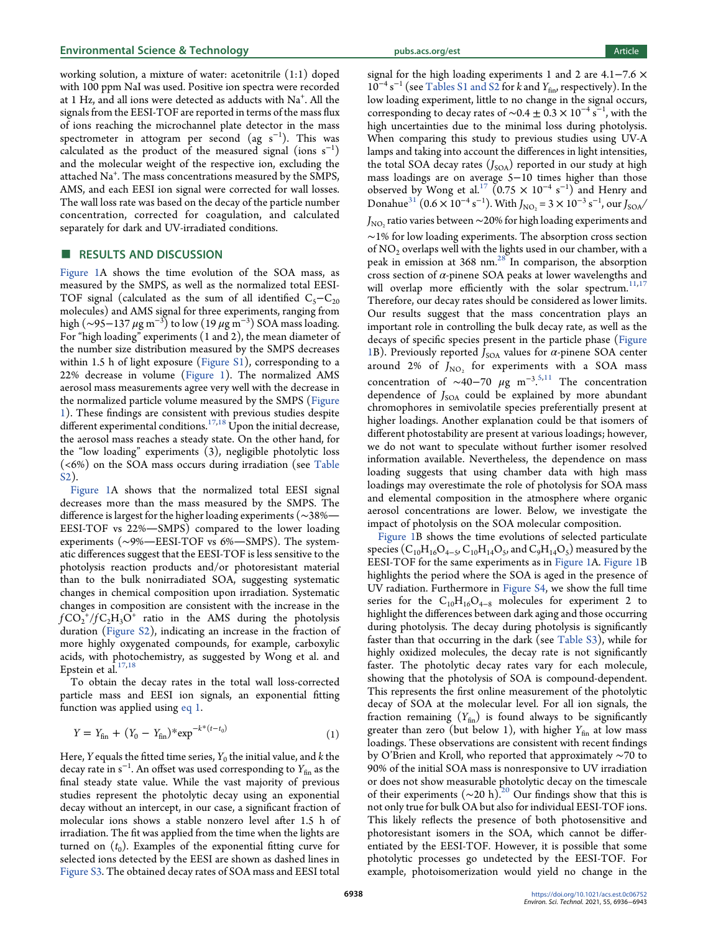working solution, a mixture of water: acetonitrile (1:1) doped with 100 ppm NaI was used. Positive ion spectra were recorded at 1 Hz, and all ions were detected as adducts with Na<sup>+</sup>. All the signals from the EESI-TOF are reported in terms of the mass flux of ions reaching the microchannel plate detector in the mass spectrometer in attogram per second (ag s<sup>-1</sup>). This was calculated as the product of the measured signal (ions  $s^{-1}$ ) and the molecular weight of the respective ion, excluding the attached Na<sup>+</sup>. The mass concentrations measured by the SMPS, AMS, and each EESI ion signal were corrected for wall losses. The wall loss rate was based on the decay of the particle number concentration, corrected for coagulation, and calculated separately for dark and UV-irradiated conditions.

#### ■ RESULTS AND DISCUSSION

Figure 1A shows the time evolution of the SOA mass, as measured by the SMPS, as well as the normalized total EESI-TOF signal (calculated as the sum of all identified  $C_5-C_{20}$ molecules) and AMS signal for three experiments, ranging from high (~95–137  $\mu$ g m<sup>−3</sup>) to low (19  $\mu$ g m<sup>−3</sup>) SOA mass loading. For "high loading" experiments (1 and 2), the mean diameter of the number size distribution measured by the SMPS decreases within 1.5 h of light exposure (Figure S1), corresponding to a 22% decrease in volume (Figure 1). The normalized AMS aerosol mass measurements agree very well with the decrease in the normalized particle volume measured by the SMPS (Figure 1). These findings are consistent with previous studies despite different experimental conditions.<sup>17,18</sup> Upon the initial decrease, the aerosol mass reaches a steady state. On the other hand, for the "low loading" experiments (3), negligible photolytic loss (<6%) on the SOA mass occurs during irradiation (see Table S2).

Figure 1A shows that the normalized total EESI signal decreases more than the mass measured by the SMPS. The difference is largest for the higher loading experiments (∼38% EESI-TOF vs 22%-SMPS) compared to the lower loading experiments (~9%—EESI-TOF vs 6%—SMPS). The systematic differences suggest that the EESI-TOF is less sensitive to the photolysis reaction products and/or photoresistant material than to the bulk nonirradiated SOA, suggesting systematic changes in chemical composition upon irradiation. Systematic changes in composition are consistent with the increase in the  $fCO_2^+/fC_2H_3O^+$  ratio in the AMS during the photolysis duration (Figure S2), indicating an increase in the fraction of more highly oxygenated compounds, for example, carboxylic acids, with photochemistry, as suggested by Wong et al. and Epstein et al. $17,18$ 

To obtain the decay rates in the total wall loss-corrected particle mass and EESI ion signals, an exponential fitting function was applied using eq 1.

$$
Y = Y_{\text{fin}} + (Y_0 - Y_{\text{fin}})^* \exp^{-k^*(t - t_0)}
$$
\n(1)

Here,  $Y$  equals the fitted time series,  $Y_0$  the initial value, and  $k$  the decay rate in s<sup>−1</sup>. An offset was used corresponding to *Y*<sub>fin</sub> as the final steady state value. While the vast majority of previous studies represent the photolytic decay using an exponential decay without an intercept, in our case, a significant fraction of molecular ions shows a stable nonzero level after 1.5 h of irradiation. The fit was applied from the time when the lights are turned on  $(t_0)$ . Examples of the exponential fitting curve for selected ions detected by the EESI are shown as dashed lines in Figure S3. The obtained decay rates of SOA mass and EESI total

signal for the high loading experiments 1 and 2 are 4.1−7.6 × 10<sup>−</sup><sup>4</sup> s −1 (see Tables S1 and S2 for *k* and *Y*fin, respectively). In the low loading experiment, little to no change in the signal occurs, corresponding to decay rates of  $\sim$ 0.4  $\pm$  0.3  $\times$  10<sup>-4</sup> s<sup>-1</sup>, with the high uncertainties due to the minimal loss during photolysis. When comparing this study to previous studies using UV-A lamps and taking into account the differences in light intensities, the total SOA decay rates  $(J_{\text{SOA}})$  reported in our study at high mass loadings are on average 5−10 times higher than those observed by Wong et al.<sup>17</sup> (0.75 × 10<sup>-4</sup> s<sup>-1</sup>) and Henry and Donahue<sup>31</sup> (0.6 × 10<sup>-4</sup> s<sup>-1</sup>). With  $J_{\text{NO}_2} = 3 \times 10^{-3} \text{ s}^{-1}$ , our  $J_{\text{SOA}}/$ *J*<sub>NO2</sub> ratio varies between ∼20% for high loading experiments and ∼1% for low loading experiments. The absorption cross section of  $NO<sub>2</sub>$  overlaps well with the lights used in our chamber, with a peak in emission at  $368 \text{ nm.}^{28}$  In comparison, the absorption cross section of  $\alpha$ -pinene SOA peaks at lower wavelengths and will overlap more efficiently with the solar spectrum. Therefore, our decay rates should be considered as lower limits. Our results suggest that the mass concentration plays an important role in controlling the bulk decay rate, as well as the decays of specific species present in the particle phase (Figure 1B). Previously reported *J*<sub>SOA</sub> values for *α*-pinene SOA center around 2% of  $J_{NO_2}$  for experiments with a SOA mass concentration of  $\sim$ 40−70  $\mu$ g m<sup>-3,5,11</sup> The concentration dependence of *J*<sub>SOA</sub> could be explained by more abundant chromophores in semivolatile species preferentially present at higher loadings. Another explanation could be that isomers of different photostability are present at various loadings; however, we do not want to speculate without further isomer resolved information available. Nevertheless, the dependence on mass loading suggests that using chamber data with high mass loadings may overestimate the role of photolysis for SOA mass and elemental composition in the atmosphere where organic aerosol concentrations are lower. Below, we investigate the impact of photolysis on the SOA molecular composition.

Figure 1B shows the time evolutions of selected particulate species  $(\mathcal{C}_{10}\mathcal{H}_{16}\mathcal{O}_{4-5}, \mathcal{C}_{10}\mathcal{H}_{14}\mathcal{O}_{5}$ , and  $\mathcal{C}_9\mathcal{H}_{14}\mathcal{O}_{5})$  measured by the EESI-TOF for the same experiments as in Figure 1A. Figure 1B highlights the period where the SOA is aged in the presence of UV radiation. Furthermore in Figure S4, we show the full time series for the  $C_{10}H_{16}O_{4-8}$  molecules for experiment 2 to highlight the differences between dark aging and those occurring during photolysis. The decay during photolysis is significantly faster than that occurring in the dark (see Table S3), while for highly oxidized molecules, the decay rate is not significantly faster. The photolytic decay rates vary for each molecule, showing that the photolysis of SOA is compound-dependent. This represents the first online measurement of the photolytic decay of SOA at the molecular level. For all ion signals, the fraction remaining  $(Y_{fin})$  is found always to be significantly greater than zero (but below 1), with higher  $Y_{fin}$  at low mass loadings. These observations are consistent with recent findings by O'Brien and Kroll, who reported that approximately ∼70 to 90% of the initial SOA mass is nonresponsive to UV irradiation or does not show measurable photolytic decay on the timescale of their experiments ( $\sim$ 20 h).<sup>20</sup> Our findings show that this is not only true for bulk OA but also for individual EESI-TOF ions. This likely reflects the presence of both photosensitive and photoresistant isomers in the SOA, which cannot be differentiated by the EESI-TOF. However, it is possible that some photolytic processes go undetected by the EESI-TOF. For example, photoisomerization would yield no change in the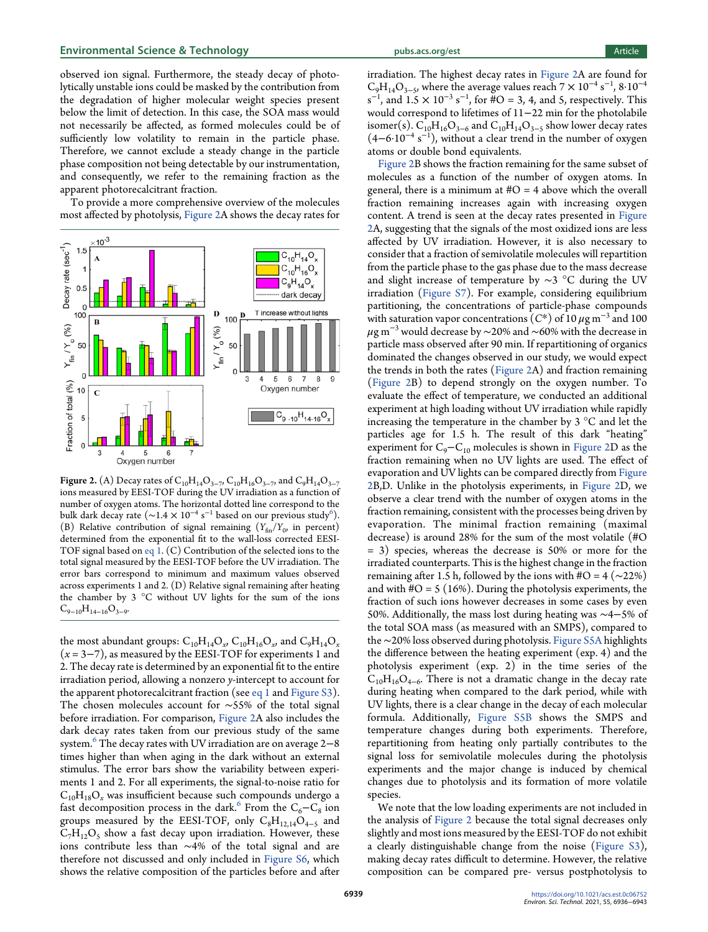#### Environmental Science & Technology and the subset of pubs.acs.org/est and the pubs.acs.org/est Article

observed ion signal. Furthermore, the steady decay of photolytically unstable ions could be masked by the contribution from the degradation of higher molecular weight species present below the limit of detection. In this case, the SOA mass would not necessarily be affected, as formed molecules could be of sufficiently low volatility to remain in the particle phase. Therefore, we cannot exclude a steady change in the particle phase composition not being detectable by our instrumentation, and consequently, we refer to the remaining fraction as the apparent photorecalcitrant fraction.

To provide a more comprehensive overview of the molecules most affected by photolysis, Figure 2A shows the decay rates for



**Figure 2.** (A) Decay rates of  $C_{10}H_{14}O_{3-7}$ ,  $C_{10}H_{16}O_{3-7}$ , and  $C_9H_{14}O_{3-7}$ ions measured by EESI-TOF during the UV irradiation as a function of number of oxygen atoms. The horizontal dotted line correspond to the bulk dark decay rate (~1.4 × 10<sup>-4</sup> s<sup>-1</sup> based on our previous study<sup>6</sup>). (B) Relative contribution of signal remaining  $(Y_{fin}/Y_{0})$  in percent) determined from the exponential fit to the wall-loss corrected EESI-TOF signal based on eq 1. (C) Contribution of the selected ions to the total signal measured by the EESI-TOF before the UV irradiation. The error bars correspond to minimum and maximum values observed across experiments 1 and 2. (D) Relative signal remaining after heating the chamber by 3 °C without UV lights for the sum of the ions  $C_{9-10}H_{14-16}O_{3-9}$ 

the most abundant groups:  $C_{10}H_{14}O_{x}$ ,  $C_{10}H_{16}O_{x}$ , and  $C_{9}H_{14}O_{x}$ (*x* = 3−7), as measured by the EESI-TOF for experiments 1 and 2. The decay rate is determined by an exponential fit to the entire irradiation period, allowing a nonzero *y*-intercept to account for the apparent photorecalcitrant fraction (see eq 1 and Figure S3). The chosen molecules account for ∼55% of the total signal before irradiation. For comparison, Figure 2A also includes the dark decay rates taken from our previous study of the same system.<sup>°</sup> The decay rates with UV irradiation are on average 2–8 times higher than when aging in the dark without an external stimulus. The error bars show the variability between experiments 1 and 2. For all experiments, the signal-to-noise ratio for  $C_{10}H_{18}O_x$  was insufficient because such compounds undergo a fast decomposition process in the dark.<sup>6</sup> From the C<sub>6</sub>-C<sub>8</sub> ion groups measured by the EESI-TOF, only  $C_8H_{12,14}O_{4-5}$  and  $C_7H_{12}O_5$  show a fast decay upon irradiation. However, these ions contribute less than ∼4% of the total signal and are therefore not discussed and only included in Figure S6, which shows the relative composition of the particles before and after irradiation. The highest decay rates in Figure 2A are found for  $C_9H_{14}O_{3-5}$ , where the average values reach  $7 \times 10^{-4}$  s<sup>-1</sup>,  $8 \cdot 10^{-4}$  $s^{-1}$ , and  $1.5 \times 10^{-3} s^{-1}$ , for #O = 3, 4, and 5, respectively. This would correspond to lifetimes of 11−22 min for the photolabile isomer(s).  $\rm C_{10}H_{16}O_{3-6}$  and  $\rm C_{10}H_{14}O_{3-5}$  show lower decay rates  $(4-6.10^{-4} s^{-1})$ , without a clear trend in the number of oxygen atoms or double bond equivalents.

Figure 2B shows the fraction remaining for the same subset of molecules as a function of the number of oxygen atoms. In general, there is a minimum at #O = 4 above which the overall fraction remaining increases again with increasing oxygen content. A trend is seen at the decay rates presented in Figure 2A, suggesting that the signals of the most oxidized ions are less affected by UV irradiation. However, it is also necessary to consider that a fraction of semivolatile molecules will repartition from the particle phase to the gas phase due to the mass decrease and slight increase of temperature by ∼3 °C during the UV irradiation (Figure S7). For example, considering equilibrium partitioning, the concentrations of particle-phase compounds with saturation vapor concentrations (*C*\*) of 10 μg m<sup>−</sup><sup>3</sup> and 100  $\mu$ g m<sup>-3</sup> would decrease by ~20% and ~60% with the decrease in particle mass observed after 90 min. If repartitioning of organics dominated the changes observed in our study, we would expect the trends in both the rates (Figure 2A) and fraction remaining (Figure 2B) to depend strongly on the oxygen number. To evaluate the effect of temperature, we conducted an additional experiment at high loading without UV irradiation while rapidly increasing the temperature in the chamber by  $3^{\circ}$ C and let the particles age for 1.5 h. The result of this dark "heating" experiment for  $C_9-C_{10}$  molecules is shown in Figure 2D as the fraction remaining when no UV lights are used. The effect of evaporation and UV lights can be compared directly from Figure 2B,D. Unlike in the photolysis experiments, in Figure 2D, we observe a clear trend with the number of oxygen atoms in the fraction remaining, consistent with the processes being driven by evaporation. The minimal fraction remaining (maximal decrease) is around 28% for the sum of the most volatile (#O = 3) species, whereas the decrease is 50% or more for the irradiated counterparts. This is the highest change in the fraction remaining after 1.5 h, followed by the ions with #O = 4 ( $\sim$ 22%) and with  $#O = 5 (16\%)$ . During the photolysis experiments, the fraction of such ions however decreases in some cases by even 50%. Additionally, the mass lost during heating was ∼4−5% of the total SOA mass (as measured with an SMPS), compared to the ∼20% loss observed during photolysis. Figure S5A highlights the difference between the heating experiment (exp. 4) and the photolysis experiment (exp. 2) in the time series of the  $C_{10}H_{16}O_{4-6}$ . There is not a dramatic change in the decay rate during heating when compared to the dark period, while with UV lights, there is a clear change in the decay of each molecular formula. Additionally, Figure S5B shows the SMPS and temperature changes during both experiments. Therefore, repartitioning from heating only partially contributes to the signal loss for semivolatile molecules during the photolysis experiments and the major change is induced by chemical changes due to photolysis and its formation of more volatile species.

We note that the low loading experiments are not included in the analysis of Figure 2 because the total signal decreases only slightly and most ions measured by the EESI-TOF do not exhibit a clearly distinguishable change from the noise (Figure S3), making decay rates difficult to determine. However, the relative composition can be compared pre- versus postphotolysis to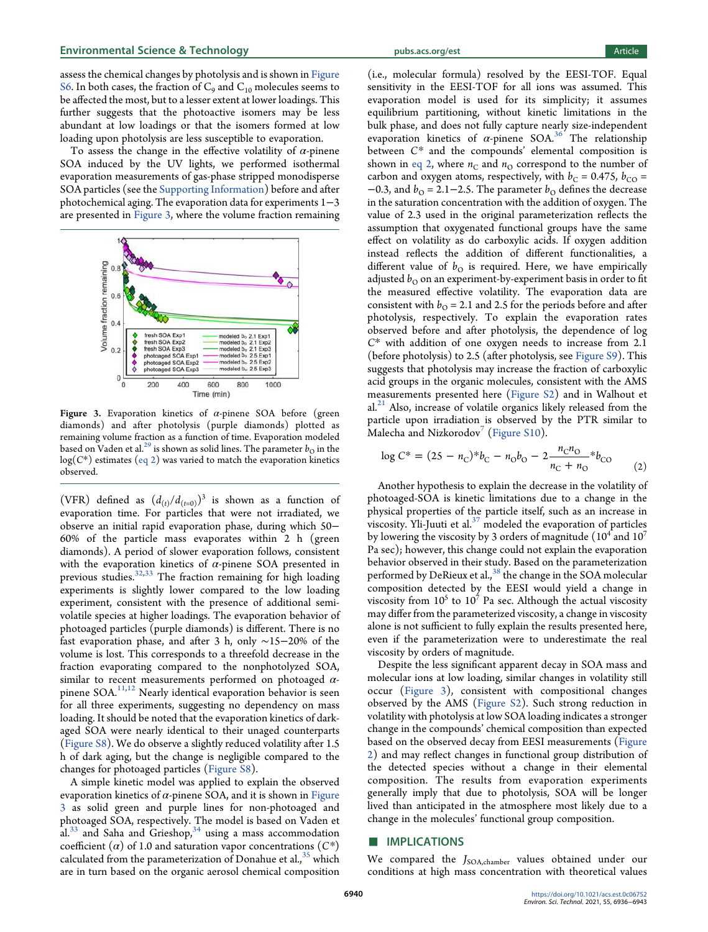assess the chemical changes by photolysis and is shown in Figure S6. In both cases, the fraction of  $C_9$  and  $C_{10}$  molecules seems to be affected the most, but to a lesser extent at lower loadings. This further suggests that the photoactive isomers may be less abundant at low loadings or that the isomers formed at low loading upon photolysis are less susceptible to evaporation.

To assess the change in the effective volatility of  $\alpha$ -pinene SOA induced by the UV lights, we performed isothermal evaporation measurements of gas-phase stripped monodisperse SOA particles (see the Supporting Information) before and after photochemical aging. The evaporation data for experiments 1−3 are presented in Figure 3, where the volume fraction remaining



Figure 3. Evaporation kinetics of  $\alpha$ -pinene SOA before (green diamonds) and after photolysis (purple diamonds) plotted as remaining volume fraction as a function of time. Evaporation modeled based on Vaden et al.<sup>29</sup> is shown as solid lines. The parameter  $b<sub>O</sub>$  in the  $log(C^*)$  estimates (eq 2) was varied to match the evaporation kinetics observed.

(VFR) defined as  $(d_{(t)}/d_{(t=0)})^3$  is shown as a function of evaporation time. For particles that were not irradiated, we observe an initial rapid evaporation phase, during which 50− 60% of the particle mass evaporates within 2 h (green diamonds). A period of slower evaporation follows, consistent with the evaporation kinetics of  $\alpha$ -pinene SOA presented in previous studies.<sup>32,33</sup> The fraction remaining for high loading experiments is slightly lower compared to the low loading experiment, consistent with the presence of additional semivolatile species at higher loadings. The evaporation behavior of photoaged particles (purple diamonds) is different. There is no fast evaporation phase, and after 3 h, only ∼15−20% of the volume is lost. This corresponds to a threefold decrease in the fraction evaporating compared to the nonphotolyzed SOA, similar to recent measurements performed on photoaged  $\alpha$ pinene SOA.<sup>11,12</sup> Nearly identical evaporation behavior is seen for all three experiments, suggesting no dependency on mass loading. It should be noted that the evaporation kinetics of darkaged SOA were nearly identical to their unaged counterparts (Figure S8). We do observe a slightly reduced volatility after 1.5 h of dark aging, but the change is negligible compared to the changes for photoaged particles (Figure S8).

A simple kinetic model was applied to explain the observed evaporation kinetics of  $\alpha$ -pinene SOA, and it is shown in Figure 3 as solid green and purple lines for non-photoaged and photoaged SOA, respectively. The model is based on Vaden et al. $33$  and Saha and Grieshop, $34$  using a mass accommodation coefficient  $(\alpha)$  of 1.0 and saturation vapor concentrations  $(C^*)$ calculated from the parameterization of Donahue et al., $35$  which are in turn based on the organic aerosol chemical composition

(i.e., molecular formula) resolved by the EESI-TOF. Equal sensitivity in the EESI-TOF for all ions was assumed. This evaporation model is used for its simplicity; it assumes equilibrium partitioning, without kinetic limitations in the bulk phase, and does not fully capture nearly size-independent evaporation kinetics of  $\alpha$ -pinene SOA.<sup>36</sup> The relationship between *C*\* and the compounds' elemental composition is shown in eq 2, where  $n<sub>C</sub>$  and  $n<sub>O</sub>$  correspond to the number of carbon and oxygen atoms, respectively, with  $b_C = 0.475$ ,  $b_{CO} =$  $-0.3$ , and  $b<sub>O</sub> = 2.1 - 2.5$ . The parameter  $b<sub>O</sub>$  defines the decrease in the saturation concentration with the addition of oxygen. The value of 2.3 used in the original parameterization reflects the assumption that oxygenated functional groups have the same effect on volatility as do carboxylic acids. If oxygen addition instead reflects the addition of different functionalities, a different value of  $b<sub>O</sub>$  is required. Here, we have empirically adjusted  $b<sub>O</sub>$  on an experiment-by-experiment basis in order to fit the measured effective volatility. The evaporation data are consistent with  $b<sub>O</sub> = 2.1$  and 2.5 for the periods before and after photolysis, respectively. To explain the evaporation rates observed before and after photolysis, the dependence of log *C*\* with addition of one oxygen needs to increase from 2.1 (before photolysis) to 2.5 (after photolysis, see Figure S9). This suggests that photolysis may increase the fraction of carboxylic acid groups in the organic molecules, consistent with the AMS measurements presented here (Figure S2) and in Walhout et  $al.<sup>21</sup>$  Also, increase of volatile organics likely released from the particle upon irradiation is observed by the PTR similar to .<br>Malecha and Nizkorodov<sup>7</sup> (Figure S10).

$$
\log C^* = (25 - n_C)^* b_C - n_O b_O - 2 \frac{n_C n_O}{n_C + n_O} * b_{CO}
$$
 (2)

Another hypothesis to explain the decrease in the volatility of photoaged-SOA is kinetic limitations due to a change in the physical properties of the particle itself, such as an increase in viscosity. Yli-Juuti et al. $37 \text{ modeled}$  the evaporation of particles by lowering the viscosity by 3 orders of magnitude (  $10^4$  and  $10^7$ Pa sec); however, this change could not explain the evaporation behavior observed in their study. Based on the parameterization performed by DeRieux et al., $38$  the change in the SOA molecular composition detected by the EESI would yield a change in viscosity from  $10^5$  to  $10^7$  Pa sec. Although the actual viscosity may differ from the parameterized viscosity, a change in viscosity alone is not sufficient to fully explain the results presented here, even if the parameterization were to underestimate the real viscosity by orders of magnitude.

Despite the less significant apparent decay in SOA mass and molecular ions at low loading, similar changes in volatility still occur (Figure 3), consistent with compositional changes observed by the AMS (Figure S2). Such strong reduction in volatility with photolysis at low SOA loading indicates a stronger change in the compounds' chemical composition than expected based on the observed decay from EESI measurements (Figure 2) and may reflect changes in functional group distribution of the detected species without a change in their elemental composition. The results from evaporation experiments generally imply that due to photolysis, SOA will be longer lived than anticipated in the atmosphere most likely due to a change in the molecules' functional group composition. ■ IMPLICATIONS

We compared the *J*SOA,chamber values obtained under our conditions at high mass concentration with theoretical values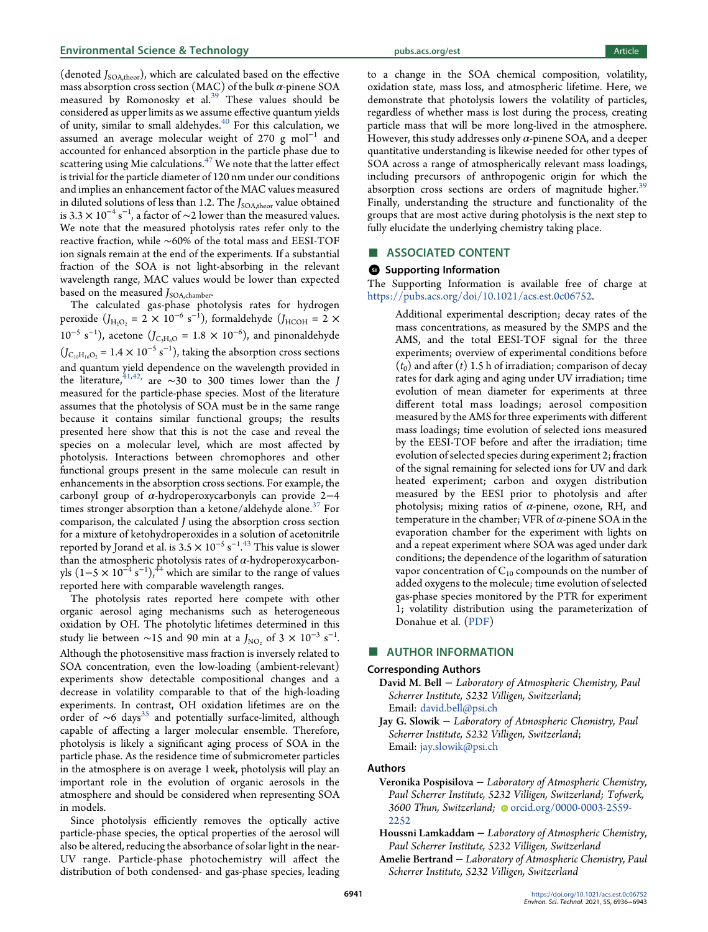(denoted *J*<sub>SOA,theor</sub>), which are calculated based on the effective mass absorption cross section (MAC) of the bulk  $\alpha$ -pinene SOA measured by Romonosky et al.<sup>39</sup> These values should be considered as upper limits as we assume effective quantum yields of unity, similar to small aldehydes.<sup>40</sup> For this calculation, we assumed an average molecular weight of 270 g mol<sup>−</sup><sup>1</sup> and accounted for enhanced absorption in the particle phase due to scattering using Mie calculations. $47$  We note that the latter effect is trivial for the particle diameter of 120 nm under our conditions and implies an enhancement factor of the MAC values measured in diluted solutions of less than 1.2. The *J*<sub>SOA,theor</sub> value obtained is  $3.3 \times 10^{-4}$  s<sup>-1</sup>, a factor of ~2 lower than the measured values. We note that the measured photolysis rates refer only to the reactive fraction, while ∼60% of the total mass and EESI-TOF ion signals remain at the end of the experiments. If a substantial fraction of the SOA is not light-absorbing in the relevant wavelength range, MAC values would be lower than expected based on the measured *J*<sub>SOA,chamber</sub>.

The calculated gas-phase photolysis rates for hydrogen peroxide (*J*<sub>H<sub>2</sub>O<sub>2</sub></sub> = 2 × 10<sup>-6</sup> s<sup>-1</sup>), formaldehyde (*J*<sub>HCOH</sub> = 2 ×  $10^{-5}$  s<sup>-1</sup>), acetone ( $J_{C_3H_6O} = 1.8 \times 10^{-6}$ ), and pinonaldehyde  $(J_{\text{C}_{10}\text{H}_{16}\text{O}_2} = 1.4 \times 10^{-5} \text{ s}^{-1})$ , taking the absorption cross sections and quantum yield dependence on the wavelength provided in the literature,  $4^{41,42}$ , are ~30 to 300 times lower than the *J* measured for the particle-phase species. Most of the literature assumes that the photolysis of SOA must be in the same range because it contains similar functional groups; the results presented here show that this is not the case and reveal the species on a molecular level, which are most affected by photolysis. Interactions between chromophores and other functional groups present in the same molecule can result in enhancements in the absorption cross sections. For example, the carbonyl group of  $\alpha$ -hydroperoxycarbonyls can provide 2–4 times stronger absorption than a ketone/aldehyde alone.<sup>37</sup> For comparison, the calculated *J* using the absorption cross section for a mixture of ketohydroperoxides in a solution of acetonitrile reported by Jorand et al. is 3.5  $\times$  10<sup>-5</sup> s<sup>-1</sup>.<sup>43</sup> This value is slower than the atmospheric photolysis rates of  $\alpha$ -hydroperoxycarbonyls (1–5 × 10<sup>-4</sup> s<sup>-1</sup>),<sup>44</sup> which are similar to the range of values reported here with comparable wavelength ranges.

The photolysis rates reported here compete with other organic aerosol aging mechanisms such as heterogeneous oxidation by OH. The photolytic lifetimes determined in this study lie between ~15 and 90 min at a  $J_{\text{NO}_2}$  of 3 × 10<sup>-3</sup> s<sup>-1</sup>. Although the photosensitive mass fraction is inversely related to SOA concentration, even the low-loading (ambient-relevant) experiments show detectable compositional changes and a decrease in volatility comparable to that of the high-loading experiments. In contrast, OH oxidation lifetimes are on the order of ~6 days<sup>35</sup> and potentially surface-limited, although capable of affecting a larger molecular ensemble. Therefore, photolysis is likely a significant aging process of SOA in the particle phase. As the residence time of submicrometer particles in the atmosphere is on average 1 week, photolysis will play an important role in the evolution of organic aerosols in the atmosphere and should be considered when representing SOA in models.

Since photolysis efficiently removes the optically active particle-phase species, the optical properties of the aerosol will also be altered, reducing the absorbance of solar light in the near-UV range. Particle-phase photochemistry will affect the distribution of both condensed- and gas-phase species, leading

to a change in the SOA chemical composition, volatility, oxidation state, mass loss, and atmospheric lifetime. Here, we demonstrate that photolysis lowers the volatility of particles, regardless of whether mass is lost during the process, creating particle mass that will be more long-lived in the atmosphere. However, this study addresses only  $\alpha$ -pinene SOA, and a deeper quantitative understanding is likewise needed for other types of SOA across a range of atmospherically relevant mass loadings, including precursors of anthropogenic origin for which the absorption cross sections are orders of magnitude higher.<sup>39</sup> Finally, understanding the structure and functionality of the groups that are most active during photolysis is the next step to fully elucidate the underlying chemistry taking place.

#### ■ ASSOCIATED CONTENT

#### **<sup>6</sup>** Supporting Information

The Supporting Information is available free of charge at https://pubs.acs.org/doi/10.1021/acs.est.0c06752.

> Additional experimental description; decay rates of the mass concentrations, as measured by the SMPS and the AMS, and the total EESI-TOF signal for the three experiments; overview of experimental conditions before  $(t_0)$  and after  $(t)$  1.5 h of irradiation; comparison of decay rates for dark aging and aging under UV irradiation; time evolution of mean diameter for experiments at three different total mass loadings; aerosol composition measured by the AMS for three experiments with different mass loadings; time evolution of selected ions measured by the EESI-TOF before and after the irradiation; time evolution of selected species during experiment 2; fraction of the signal remaining for selected ions for UV and dark heated experiment; carbon and oxygen distribution measured by the EESI prior to photolysis and after photolysis; mixing ratios of  $\alpha$ -pinene, ozone, RH, and temperature in the chamber; VFR of  $\alpha$ -pinene SOA in the evaporation chamber for the experiment with lights on and a repeat experiment where SOA was aged under dark conditions; the dependence of the logarithm of saturation vapor concentration of  $C_{10}$  compounds on the number of added oxygens to the molecule; time evolution of selected gas-phase species monitored by the PTR for experiment 1; volatility distribution using the parameterization of Donahue et al. (PDF)

#### ■ AUTHOR INFORMATION

#### Corresponding Authors

- David M. Bell − *Laboratory of Atmospheric Chemistry, Paul Scherrer Institute, 5232 Villigen, Switzerland*; Email: david.bell@psi.ch
- Jay G. Slowik − *Laboratory of Atmospheric Chemistry, Paul Scherrer Institute, 5232 Villigen, Switzerland*; Email: jay.slowik@psi.ch

#### Authors

- Veronika Pospisilova − *Laboratory of Atmospheric Chemistry, Paul Scherrer Institute, 5232 Villigen, Switzerland; Tofwerk,* 3600 Thun, Switzerland; orcid.org/0000-0003-2559-2252
- Houssni Lamkaddam − *Laboratory of Atmospheric Chemistry, Paul Scherrer Institute, 5232 Villigen, Switzerland*
- Amelie Bertrand − *Laboratory of Atmospheric Chemistry, Paul Scherrer Institute, 5232 Villigen, Switzerland*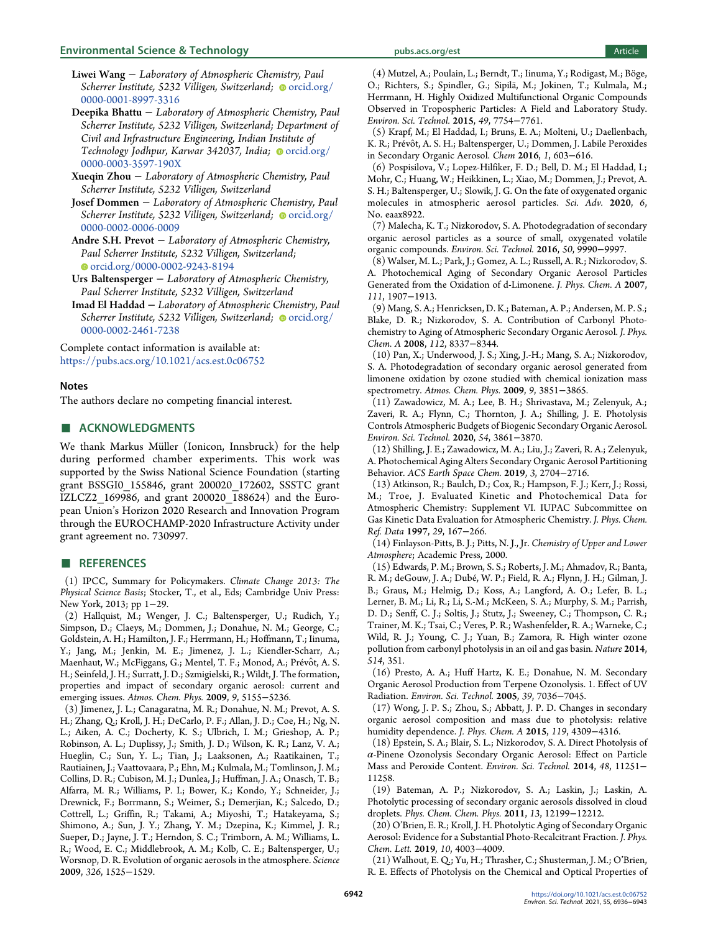Liwei Wang − *Laboratory of Atmospheric Chemistry, Paul Scherrer Institute, 5232 Villigen, Switzerland;* Orcid.org/ 0000-0001-8997-3316

- Deepika Bhattu − *Laboratory of Atmospheric Chemistry, Paul Scherrer Institute, 5232 Villigen, Switzerland; Department of Civil and Infrastructure Engineering, Indian Institute of Technology Jodhpur, Karwar 342037, India*; Orcid.org/ 0000-0003-3597-190X
- Xueqin Zhou − *Laboratory of Atmospheric Chemistry, Paul Scherrer Institute, 5232 Villigen, Switzerland*
- Josef Dommen − *Laboratory of Atmospheric Chemistry, Paul Scherrer Institute, 5232 Villigen, Switzerland;* Oorcid.org/ 0000-0002-0006-0009
- Andre S.H. Prevot − *Laboratory of Atmospheric Chemistry, Paul Scherrer Institute, 5232 Villigen, Switzerland;* orcid.org/0000-0002-9243-8194
- Urs Baltensperger − *Laboratory of Atmospheric Chemistry, Paul Scherrer Institute, 5232 Villigen, Switzerland*
- Imad El Haddad − *Laboratory of Atmospheric Chemistry, Paul Scherrer Institute, 5232 Villigen, Switzerland;* Oorcid.org/ 0000-0002-2461-7238

Complete contact information is available at: https://pubs.acs.org/10.1021/acs.est.0c06752

#### **Notes**

The authors declare no competing financial interest.

#### ■ ACKNOWLEDGMENTS

We thank Markus Müller (Ionicon, Innsbruck) for the help during performed chamber experiments. This work was supported by the Swiss National Science Foundation (starting grant BSSGI0\_155846, grant 200020\_172602, SSSTC grant IZLCZ2\_169986, and grant 200020\_188624) and the European Union's Horizon 2020 Research and Innovation Program through the EUROCHAMP-2020 Infrastructure Activity under grant agreement no. 730997.

#### ■ REFERENCES

(1) IPCC, Summary for Policymakers. *Climate Change 2013: The Physical Science Basis*; Stocker, T., et al., Eds; Cambridge Univ Press: New York, 2013; pp 1−29.

(2) Hallquist, M.; Wenger, J. C.; Baltensperger, U.; Rudich, Y.; Simpson, D.; Claeys, M.; Dommen, J.; Donahue, N. M.; George, C.; Goldstein, A. H.; Hamilton, J. F.; Herrmann, H.; Hoffmann, T.; Iinuma, Y.; Jang, M.; Jenkin, M. E.; Jimenez, J. L.; Kiendler-Scharr, A.; Maenhaut, W.; McFiggans, G.; Mentel, T. F.; Monod, A.; Prévôt, A. S. H.; Seinfeld, J. H.; Surratt, J. D.; Szmigielski, R.; Wildt, J. The formation, properties and impact of secondary organic aerosol: current and emerging issues. *Atmos. Chem. Phys.* 2009, *9*, 5155−5236.

(3) Jimenez, J. L.; Canagaratna, M. R.; Donahue, N. M.; Prevot, A. S. H.; Zhang, Q.; Kroll, J. H.; DeCarlo, P. F.; Allan, J. D.; Coe, H.; Ng, N. L.; Aiken, A. C.; Docherty, K. S.; Ulbrich, I. M.; Grieshop, A. P.; Robinson, A. L.; Duplissy, J.; Smith, J. D.; Wilson, K. R.; Lanz, V. A.; Hueglin, C.; Sun, Y. L.; Tian, J.; Laaksonen, A.; Raatikainen, T.; Rautiainen, J.; Vaattovaara, P.; Ehn, M.; Kulmala, M.; Tomlinson, J. M.; Collins, D. R.; Cubison, M. J.; Dunlea, J.; Huffman, J. A.; Onasch, T. B.; Alfarra, M. R.; Williams, P. I.; Bower, K.; Kondo, Y.; Schneider, J.; Drewnick, F.; Borrmann, S.; Weimer, S.; Demerjian, K.; Salcedo, D.; Cottrell, L.; Griffin, R.; Takami, A.; Miyoshi, T.; Hatakeyama, S.; Shimono, A.; Sun, J. Y.; Zhang, Y. M.; Dzepina, K.; Kimmel, J. R.; Sueper, D.; Jayne, J. T.; Herndon, S. C.; Trimborn, A. M.; Williams, L. R.; Wood, E. C.; Middlebrook, A. M.; Kolb, C. E.; Baltensperger, U.; Worsnop, D. R. Evolution of organic aerosols in the atmosphere. *Science* 2009, *326*, 1525−1529.

(4) Mutzel, A.; Poulain, L.; Berndt, T.; Iinuma, Y.; Rodigast, M.; Böge, O.; Richters, S.; Spindler, G.; Sipilä, M.; Jokinen, T.; Kulmala, M.; Herrmann, H. Highly Oxidized Multifunctional Organic Compounds Observed in Tropospheric Particles: A Field and Laboratory Study. *Environ. Sci. Technol.* 2015, *49*, 7754−7761.

(5) Krapf, M.; El Haddad, I.; Bruns, E. A.; Molteni, U.; Daellenbach, K. R.; Prévôt, A. S. H.; Baltensperger, U.; Dommen, J. Labile Peroxides in Secondary Organic Aerosol. *Chem* 2016, *1*, 603−616.

(6) Pospisilova, V.; Lopez-Hilfiker, F. D.; Bell, D. M.; El Haddad, I.; Mohr, C.; Huang, W.; Heikkinen, L.; Xiao, M.; Dommen, J.; Prevot, A. S. H.; Baltensperger, U.; Slowik, J. G. On the fate of oxygenated organic molecules in atmospheric aerosol particles. *Sci. Adv.* 2020, *6*, No. eaax8922.

(7) Malecha, K. T.; Nizkorodov, S. A. Photodegradation of secondary organic aerosol particles as a source of small, oxygenated volatile organic compounds. *Environ. Sci. Technol.* 2016, *50*, 9990−9997.

(8) Walser, M. L.; Park, J.; Gomez, A. L.; Russell, A. R.; Nizkorodov, S. A. Photochemical Aging of Secondary Organic Aerosol Particles Generated from the Oxidation of d-Limonene. *J. Phys. Chem. A* 2007, *111*, 1907−1913.

(9) Mang, S. A.; Henricksen, D. K.; Bateman, A. P.; Andersen, M. P. S.; Blake, D. R.; Nizkorodov, S. A. Contribution of Carbonyl Photochemistry to Aging of Atmospheric Secondary Organic Aerosol. *J. Phys. Chem. A* 2008, *112*, 8337−8344.

(10) Pan, X.; Underwood, J. S.; Xing, J.-H.; Mang, S. A.; Nizkorodov, S. A. Photodegradation of secondary organic aerosol generated from limonene oxidation by ozone studied with chemical ionization mass spectrometry. *Atmos. Chem. Phys.* 2009, *9*, 3851−3865.

(11) Zawadowicz, M. A.; Lee, B. H.; Shrivastava, M.; Zelenyuk, A.; Zaveri, R. A.; Flynn, C.; Thornton, J. A.; Shilling, J. E. Photolysis Controls Atmospheric Budgets of Biogenic Secondary Organic Aerosol. *Environ. Sci. Technol.* 2020, *54*, 3861−3870.

(12) Shilling, J. E.; Zawadowicz, M. A.; Liu, J.; Zaveri, R. A.; Zelenyuk, A. Photochemical Aging Alters Secondary Organic Aerosol Partitioning Behavior. *ACS Earth Space Chem.* 2019, *3*, 2704−2716.

(13) Atkinson, R.; Baulch, D.; Cox, R.; Hampson, F. J.; Kerr, J.; Rossi, M.; Troe, J. Evaluated Kinetic and Photochemical Data for Atmospheric Chemistry: Supplement VI. IUPAC Subcommittee on Gas Kinetic Data Evaluation for Atmospheric Chemistry. *J. Phys. Chem. Ref. Data* 1997, *29*, 167−266.

(14) Finlayson-Pitts, B. J.; Pitts, N. J., Jr. *Chemistry of Upper and Lower Atmosphere*; Academic Press, 2000.

(15) Edwards, P. M.; Brown, S. S.; Roberts, J. M.; Ahmadov, R.; Banta, R. M.; deGouw, J. A.; Dubé, W. P.; Field, R. A.; Flynn, J. H.; Gilman, J. B.; Graus, M.; Helmig, D.; Koss, A.; Langford, A. O.; Lefer, B. L.; Lerner, B. M.; Li, R.; Li, S.-M.; McKeen, S. A.; Murphy, S. M.; Parrish, D. D.; Senff, C. J.; Soltis, J.; Stutz, J.; Sweeney, C.; Thompson, C. R.; Trainer, M. K.; Tsai, C.; Veres, P. R.; Washenfelder, R. A.; Warneke, C.; Wild, R. J.; Young, C. J.; Yuan, B.; Zamora, R. High winter ozone pollution from carbonyl photolysis in an oil and gas basin. *Nature* 2014, *514*, 351.

(16) Presto, A. A.; Huff Hartz, K. E.; Donahue, N. M. Secondary Organic Aerosol Production from Terpene Ozonolysis. 1. Effect of UV Radiation. *Environ. Sci. Technol.* 2005, *39*, 7036−7045.

(17) Wong, J. P. S.; Zhou, S.; Abbatt, J. P. D. Changes in secondary organic aerosol composition and mass due to photolysis: relative humidity dependence. *J. Phys. Chem. A* 2015, *119*, 4309−4316.

(18) Epstein, S. A.; Blair, S. L.; Nizkorodov, S. A. Direct Photolysis of α-Pinene Ozonolysis Secondary Organic Aerosol: Effect on Particle Mass and Peroxide Content. *Environ. Sci. Technol.* 2014, *48*, 11251− 11258.

(19) Bateman, A. P.; Nizkorodov, S. A.; Laskin, J.; Laskin, A. Photolytic processing of secondary organic aerosols dissolved in cloud droplets. *Phys. Chem. Chem. Phys.* 2011, *13*, 12199−12212.

(20) O'Brien, E. R.; Kroll, J. H. Photolytic Aging of Secondary Organic Aerosol: Evidence for a Substantial Photo-Recalcitrant Fraction. *J. Phys. Chem. Lett.* 2019, *10*, 4003−4009.

(21) Walhout, E. Q.; Yu, H.; Thrasher, C.; Shusterman, J. M.; O'Brien, R. E. Effects of Photolysis on the Chemical and Optical Properties of